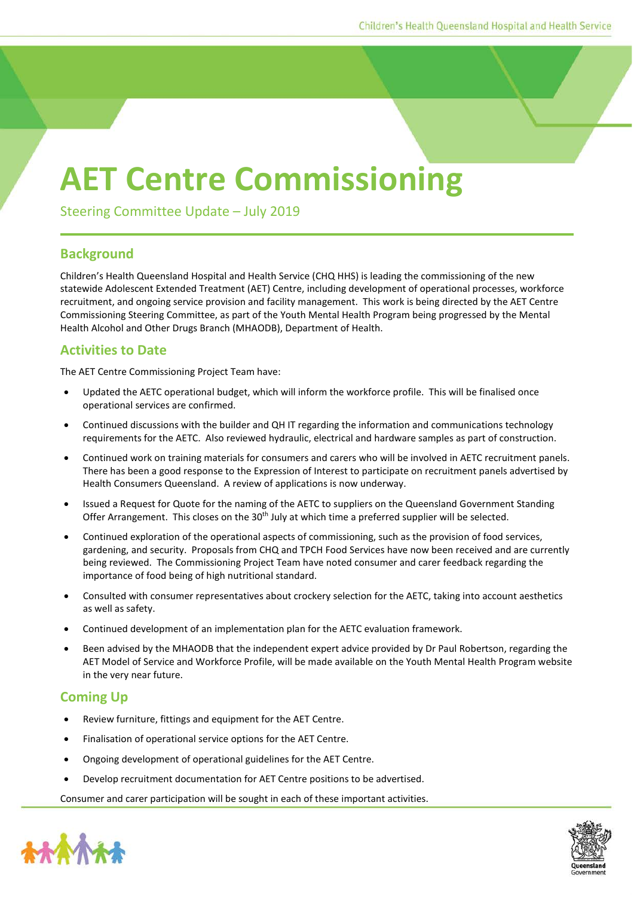## **AET Centre Commissioning**

Steering Committee Update – July 2019

## **Background**

Children's Health Queensland Hospital and Health Service (CHQ HHS) is leading the commissioning of the new statewide Adolescent Extended Treatment (AET) Centre, including development of operational processes, workforce recruitment, and ongoing service provision and facility management. This work is being directed by the AET Centre Commissioning Steering Committee, as part of the Youth Mental Health Program being progressed by the Mental Health Alcohol and Other Drugs Branch (MHAODB), Department of Health.

## **Activities to Date**

The AET Centre Commissioning Project Team have:

- Updated the AETC operational budget, which will inform the workforce profile. This will be finalised once operational services are confirmed.
- Continued discussions with the builder and QH IT regarding the information and communications technology requirements for the AETC. Also reviewed hydraulic, electrical and hardware samples as part of construction.
- Continued work on training materials for consumers and carers who will be involved in AETC recruitment panels. There has been a good response to the Expression of Interest to participate on recruitment panels advertised by Health Consumers Queensland. A review of applications is now underway.
- Issued a Request for Quote for the naming of the AETC to suppliers on the Queensland Government Standing Offer Arrangement. This closes on the  $30<sup>th</sup>$  July at which time a preferred supplier will be selected.
- Continued exploration of the operational aspects of commissioning, such as the provision of food services, gardening, and security. Proposals from CHQ and TPCH Food Services have now been received and are currently being reviewed. The Commissioning Project Team have noted consumer and carer feedback regarding the importance of food being of high nutritional standard.
- Consulted with consumer representatives about crockery selection for the AETC, taking into account aesthetics as well as safety.
- Continued development of an implementation plan for the AETC evaluation framework.
- Been advised by the MHAODB that the independent expert advice provided by Dr Paul Robertson, regarding the AET Model of Service and Workforce Profile, will be made available on the Youth Mental Health Program website in the very near future.

## **Coming Up**

- Review furniture, fittings and equipment for the AET Centre.
- Finalisation of operational service options for the AET Centre.
- Ongoing development of operational guidelines for the AET Centre.
- Develop recruitment documentation for AET Centre positions to be advertised.

Consumer and carer participation will be sought in each of these important activities.